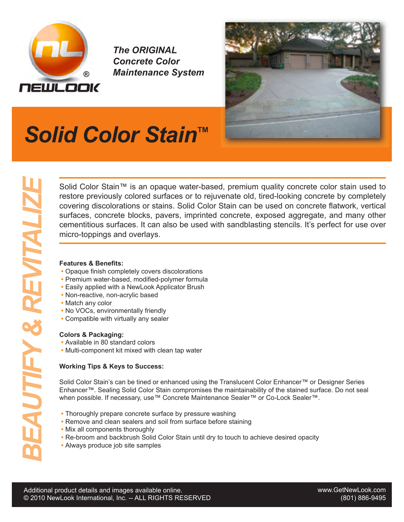

*The ORIGINAL Concrete Color Maintenance System*



## *Solid Color Stain ™*

**BEAUTIFY Solid Color Stain™ is an opaque water-based, premium quality concrete color stain used to covering discolorizations or stains. Solid Color Stain can be used on concrete hatwork, vertical surfaces, concrete block** restore previously colored surfaces or to rejuvenate old, tired-looking concrete by completely covering discolorations or stains. Solid Color Stain can be used on concrete flatwork, vertical surfaces, concrete blocks, pavers, imprinted concrete, exposed aggregate, and many other cementitious surfaces. It can also be used with sandblasting stencils. It's perfect for use over micro-toppings and overlays.

#### **Features & Benefits:**

- **•** Opaque finish completely covers discolorations
- **•** Premium water-based, modified-polymer formula
- **•** Easily applied with a NewLook Applicator Brush
- Non-reactive, non-acrylic based
- Match any color
- No VOCs, environmentally friendly
- Compatible with virtually any sealer

### **Colors & Packaging:**

- Available in 80 standard colors
- Multi-component kit mixed with clean tap water

### **Working Tips & Keys to Success:**

Solid Color Stain's can be tined or enhanced using the Translucent Color Enhancer™ or Designer Series Enhancer™. Sealing Solid Color Stain compromises the maintainability of the stained surface. Do not seal when possible. If necessary, use™ Concrete Maintenance Sealer™ or Co-Lock Sealer™.

- Thoroughly prepare concrete surface by pressure washing
- Remove and clean sealers and soil from surface before staining
- Mix all components thoroughly
- Re-broom and backbrush Solid Color Stain until dry to touch to achieve desired opacity
- Always produce job site samples